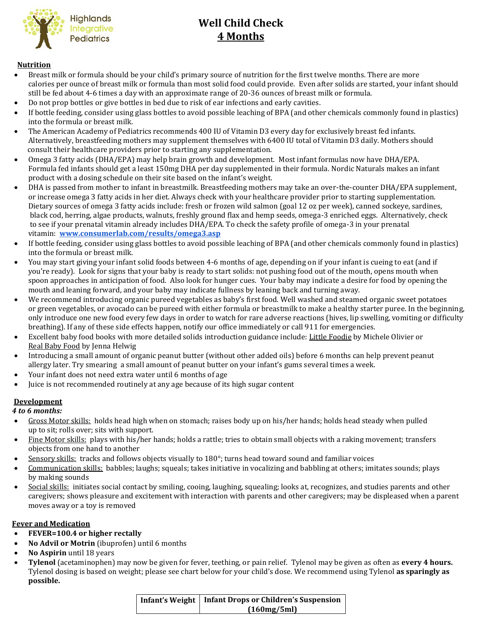

# **Well Child Check 4 Months**

#### **Nutrition**

- Breast milk or formula should be your child's primary source of nutrition for the first twelve months. There are more calories per ounce of breast milk or formula than most solid food could provide. Even after solids are started, your infant should still be fed about 4-6 times a day with an approximate range of 20-36 ounces of breast milk or formula.
- Do not prop bottles or give bottles in bed due to risk of ear infections and early cavities.
- If bottle feeding, consider using glass bottles to avoid possible leaching of BPA (and other chemicals commonly found in plastics) into the formula or breast milk.
- The American Academy of Pediatrics recommends 400 IU of Vitamin D3 every day for exclusively breast fed infants. Alternatively, breastfeeding mothers may supplement themselves with 6400 IU total of Vitamin D3 daily. Mothers should consult their healthcare providers prior to starting any supplementation.
- Omega 3 fatty acids (DHA/EPA) may help brain growth and development. Most infant formulas now have DHA/EPA. Formula fed infants should get a least 150mg DHA per day supplemented in their formula. Nordic Naturals makes an infant product with a dosing schedule on their site based on the infant's weight.
- DHA is passed from mother to infant in breastmilk. Breastfeeding mothers may take an over-the-counter DHA/EPA supplement, or increase omega 3 fatty acids in her diet. Always check with your healthcare provider prior to starting supplementation. Dietary sources of omega 3 fatty acids include: fresh or frozen wild salmon (goal 12 oz per week), canned sockeye, sardines, black cod, herring, algae products, walnuts, freshly ground flax and hemp seeds, omega-3 enriched eggs. Alternatively, check to see if your prenatal vitamin already includes DHA/EPA. To check the safety profile of omega-3 in your prenatal vitamin: **[www.consumerlab.com/results/omega3.asp](http://www.consumerlab.com/results/omega3.asp)**
- If bottle feeding, consider using glass bottles to avoid possible leaching of BPA (and other chemicals commonly found in plastics) into the formula or breast milk.
- You may start giving your infant solid foods between 4-6 months of age, depending on if your infant is cueing to eat (and if you're ready). Look for signs that your baby is ready to start solids: not pushing food out of the mouth, opens mouth when spoon approaches in anticipation of food. Also look for hunger cues. Your baby may indicate a desire for food by opening the mouth and leaning forward, and your baby may indicate fullness by leaning back and turning away.
- We recommend introducing organic pureed vegetables as baby's first food. Well washed and steamed organic sweet potatoes or green vegetables, or avocado can be pureed with either formula or breastmilk to make a healthy starter puree. In the beginning, only introduce one new food every few days in order to watch for rare adverse reactions (hives, lip swelling, vomiting or difficulty breathing). If any of these side effects happen, notify our office immediately or call 911 for emergencies.
- Excellent baby food books with more detailed solids introduction guidance include: Little Foodie by Michele Olivier or Real Baby Food by Jenna Helwig
- Introducing a small amount of organic peanut butter (without other added oils) before 6 months can help prevent peanut allergy later. Try smearing a small amount of peanut butter on your infant's gums several times a week.
- Your infant does not need extra water until 6 months of age
- Juice is not recommended routinely at any age because of its high sugar content

### **Development**

 *4 to 6 months:*

- Gross Motor skills: holds head high when on stomach; raises body up on his/her hands; holds head steady when pulled up to sit; rolls over; sits with support.
- Fine Motor skills: plays with his/her hands; holds a rattle; tries to obtain small objects with a raking movement; transfers objects from one hand to another
- Sensory skills: tracks and follows objects visually to 180°; turns head toward sound and familiar voices
- Communication skills: babbles; laughs; squeals; takes initiative in vocalizing and babbling at others; imitates sounds; plays by making sounds
- Social skills: initiates social contact by smiling, cooing, laughing, squealing; looks at, recognizes, and studies parents and other caregivers; shows pleasure and excitement with interaction with parents and other caregivers; may be displeased when a parent moves away or a toy is removed

#### **Fever and Medication**

- **FEVER=100.4 or higher rectally**
- **No Advil or Motrin** (ibuprofen) until 6 months
- **No Aspirin** until 18 years
- **Tylenol** (acetaminophen) may now be given for fever, teething, or pain relief. Tylenol may be given as often as **every 4 hours.** Tylenol dosing is based on weight; please see chart below for your child's dose. We recommend using Tylenol **as sparingly as possible.**

| Infant's Weight   Infant Drops or Children's Suspension |
|---------------------------------------------------------|
| (160mg/5ml)                                             |